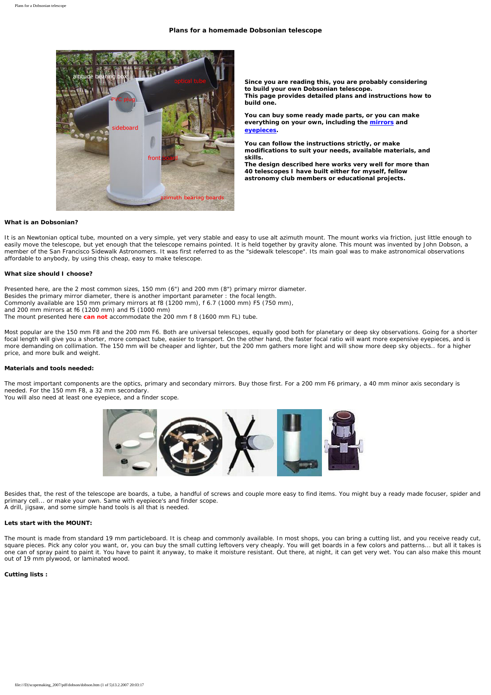## **Plans for a homemade Dobsonian telescope**



**Since you are reading this, you are probably considering to build your own Dobsonian telescope. This page provides detailed plans and instructions how to build one.** 

**You can buy some ready made parts, or you can make everything on your own, including the mirrors and eyepieces.** 

**You can follow the instructions strictly, or make modifications to suit your needs, available materials, and skills.** 

**The design described here works very well for more than 40 telescopes I have built either for myself, fellow astronomy club members or educational projects.**

### **What is an Dobsonian?**

It is an Newtonian optical tube, mounted on a very simple, yet very stable and easy to use alt azimuth mount. The mount works via friction, just little enough to easily move the telescope, but yet enough that the telescope remains pointed. It is held together by gravity alone. This mount was invented by John Dobson, a member of the San Francisco Sidewalk Astronomers. It was first referred to as the "sidewalk telescope". Its main goal was to make astronomical observations affordable to anybody, by using this cheap, easy to make telescope.

#### **What size should I choose?**

Presented here, are the 2 most common sizes, 150 mm (6") and 200 mm (8") primary mirror diameter. Besides the primary mirror diameter, there is another important parameter : the focal length. Commonly available are 150 mm primary mirrors at f8 (1200 mm), f 6.7 (1000 mm) F5 (750 mm),

and 200 mm mirrors at f6 (1200 mm) and f5 (1000 mm)

The mount presented here **can not** accommodate the 200 mm f 8 (1600 mm FL) tube.

Most popular are the 150 mm F8 and the 200 mm F6. Both are universal telescopes, equally good both for planetary or deep sky observations. Going for a shorter focal length will give you a shorter, more compact tube, easier to transport. On the other hand, the faster focal ratio will want more expensive eyepieces, and is more demanding on collimation. The 150 mm will be cheaper and lighter, but the 200 mm gathers more light and will show more deep sky objects.. for a higher price, and more bulk and weight.

#### **Materials and tools needed:**

The most important components are the optics, primary and secondary mirrors. Buy those first. For a 200 mm F6 primary, a 40 mm minor axis secondary is needed. For the 150 mm F8, a 32 mm secondary.

You will also need at least one eyepiece, and a finder scope.



Besides that, the rest of the telescope are boards, a tube, a handful of screws and couple more easy to find items. You might buy a ready made focuser, spider and primary cell... or make your own. Same with eyepiece's and finder scope. A drill, jigsaw, and some simple hand tools is all that is needed.

#### **Lets start with the MOUNT:**

The mount is made from standard 19 mm particleboard. It is cheap and commonly available. In most shops, you can bring a cutting list, and you receive ready cut, square pieces. Pick any color you want, or, you can buy the small cutting leftovers very cheaply. You will get boards in a few colors and patterns... but all it takes is one can of spray paint to paint it. You have to paint it anyway, to make it moisture resistant. Out there, at night, it can get very wet. You can also make this mount out of 19 mm plywood, or laminated wood.

## **Cutting lists :**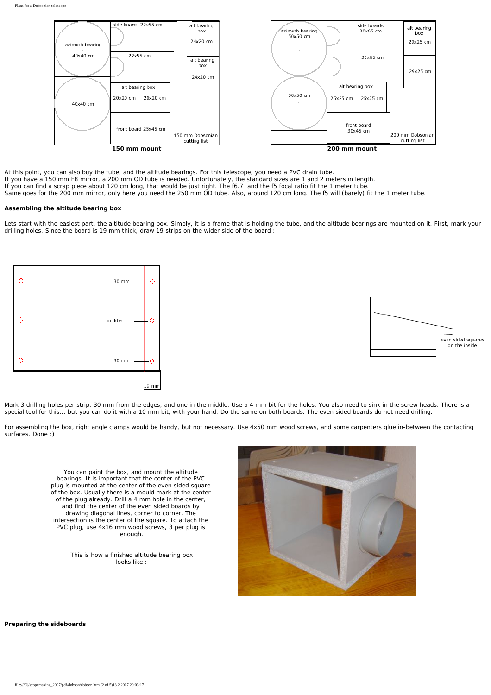

At this point, you can also buy the tube, and the altitude bearings. For this telescope, you need a PVC drain tube. If you have a 150 mm F8 mirror, a 200 mm OD tube is needed. Unfortunately, the standard sizes are 1 and 2 meters in length. If you can find a scrap piece about 120 cm long, that would be just right. The f6.7 and the f5 focal ratio fit the 1 meter tube. Same goes for the 200 mm mirror, only here you need the 250 mm OD tube. Also, around 120 cm long. The f5 will (barely) fit the 1 meter tube.

## **Assembling the altitude bearing box**

Lets start with the easiest part, the altitude bearing box. Simply, it is a frame that is holding the tube, and the altitude bearings are mounted on it. First, mark your drilling holes. Since the board is 19 mm thick, draw 19 strips on the wider side of the board :





Mark 3 drilling holes per strip, 30 mm from the edges, and one in the middle. Use a 4 mm bit for the holes. You also need to sink in the screw heads. There is a special tool for this... but you can do it with a 10 mm bit, with your hand. Do the same on both boards. The even sided boards do not need drilling.

For assembling the box, right angle clamps would be handy, but not necessary. Use 4x50 mm wood screws, and some carpenters glue in-between the contacting surfaces. Done :)

You can paint the box, and mount the altitude bearings. It is important that the center of the PVC plug is mounted at the center of the even sided square of the box. Usually there is a mould mark at the center of the plug already. Drill a 4 mm hole in the center, and find the center of the even sided boards by drawing diagonal lines, corner to corner. The intersection is the center of the square. To attach the PVC plug, use 4x16 mm wood screws, 3 per plug is enough.

> This is how a finished altitude bearing box looks like :



**Preparing the sideboards**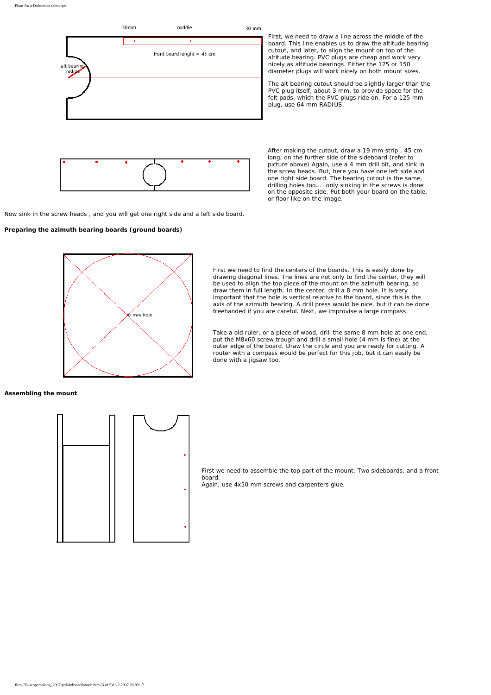Plans for a Dobsonian telescope





Now sink in the screw heads , and you will get one right side and a left side board.

**Preparing the azimuth bearing boards (ground boards)** 



The alt bearing cutout should be slightly larger than the PVC plug itself, about 3 mm, to provide space for the felt pads, which the PVC plugs ride on. For a 125 mm plug, use 64 mm RADIUS.

After making the cutout, draw a 19 mm strip , 45 cm long, on the further side of the sideboard (refer to picture above) Again, use a 4 mm drill bit, and sink in the screw heads. But, here you have one left side and one right side board. The bearing cutout is the same, drilling holes too... only sinking in the screws is done on the opposite side. Put both your board on the table, or floor like on the image:



First we need to find the centers of the boards. This is easily done by drawing diagonal lines. The lines are not only to find the center, they will be used to align the top piece of the mount on the azimuth bearing, so draw them in full length. In the center, drill a 8 mm hole. It is very important that the hole is vertical relative to the board, since this is the axis of the azimuth bearing. A drill press would be nice, but it can be done freehanded if you are careful. Next, we improvise a large compass.

Take a old ruler, or a piece of wood, drill the same 8 mm hole at one end, put the M8x60 screw trough and drill a small hole (4 mm is fine) at the outer edge of the board. Draw the circle and you are ready for cutting. A router with a compass would be perfect for this job, but it can easily be done with a jigsaw too.

**Assembling the mount**



First we need to assemble the top part of the mount. Two sideboards, and a front board. Again, use 4x50 mm screws and carpenters glue.

file:///D|/scopemaking\_2007/pdf/dobson/dobson.htm (3 of 5)13.2.2007 20:03:17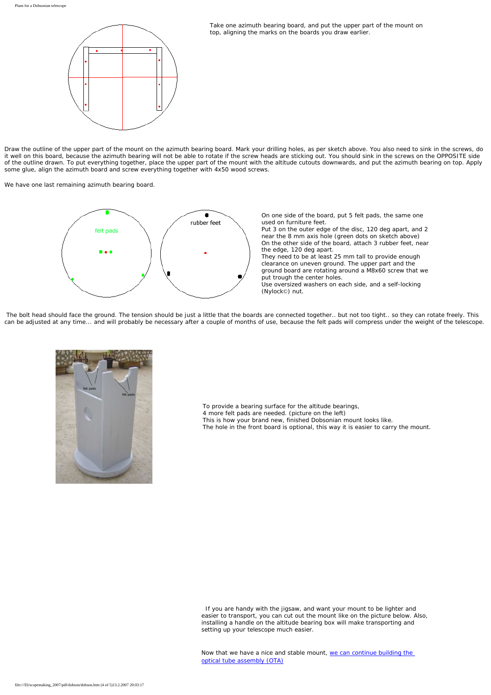

Take one azimuth bearing board, and put the upper part of the mount on top, aligning the marks on the boards you draw earlier.

Draw the outline of the upper part of the mount on the azimuth bearing board. Mark your drilling holes, as per sketch above. You also need to sink in the screws, do it well on this board, because the azimuth bearing will not be able to rotate if the screw heads are sticking out. You should sink in the screws on the OPPOSITE side of the outline drawn. To put everything together, place the upper part of the mount with the altitude cutouts downwards, and put the azimuth bearing on top. Apply some glue, align the azimuth board and screw everything together with 4x50 wood screws.

We have one last remaining azimuth bearing board.



On one side of the board, put 5 felt pads, the same one used on furniture feet.

Put 3 on the outer edge of the disc, 120 deg apart, and 2 near the 8 mm axis hole (green dots on sketch above) On the other side of the board, attach 3 rubber feet, near the edge, 120 deg apart.

They need to be at least 25 mm tall to provide enough clearance on uneven ground. The upper part and the ground board are rotating around a M8x60 screw that we put trough the center holes. Use oversized washers on each side, and a self-locking (Nylock©) nut.

 The bolt head should face the ground. The tension should be just a little that the boards are connected together.. but not too tight.. so they can rotate freely. This can be adjusted at any time... and will probably be necessary after a couple of months of use, because the felt pads will compress under the weight of the telescope.



To provide a bearing surface for the altitude bearings, 4 more felt pads are needed. (picture on the left) This is how your brand new, finished Dobsonian mount looks like. The hole in the front board is optional, this way it is easier to carry the mount.

 If you are handy with the jigsaw, and want your mount to be lighter and easier to transport, you can cut out the mount like on the picture below. Also, installing a handle on the altitude bearing box will make transporting and setting up your telescope much easier.

Now that we have a nice and stable mount, [we can continue building the](#page-5-0) [optical tube assembly \(OTA\)](#page-5-0)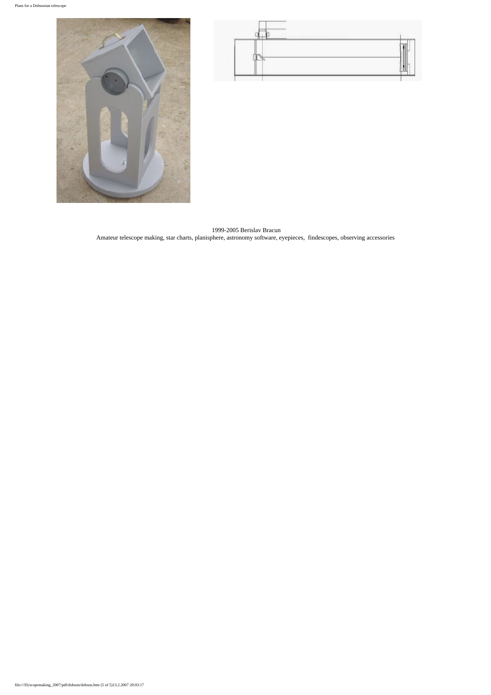



 1999-2005 Berislav Bracun Amateur telescope making, star charts, planisphere, astronomy software, eyepieces, findescopes, observing accessories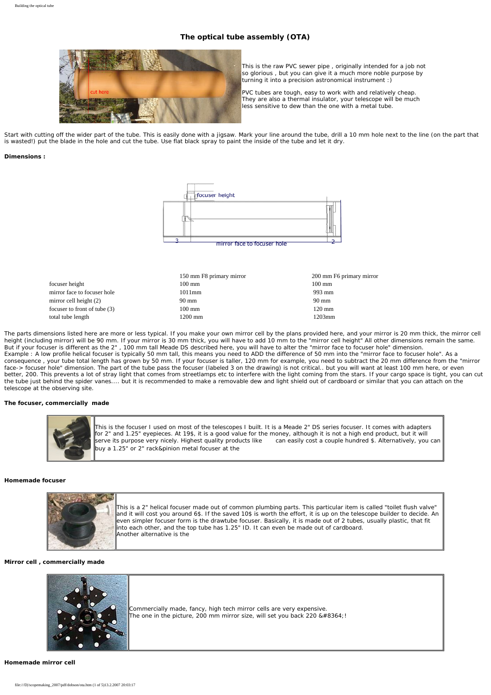# **The optical tube assembly (OTA)**

<span id="page-5-0"></span>

This is the raw PVC sewer pipe , originally intended for a job not so glorious , but you can give it a much more noble purpose by turning it into a precision astronomical instrument :)

PVC tubes are tough, easy to work with and relatively cheap. They are also a thermal insulator, your telescope will be much less sensitive to dew than the one with a metal tube.

Start with cutting off the wider part of the tube. This is easily done with a jigsaw. Mark your line around the tube, drill a 10 mm hole next to the line (on the part that is wasted!) put the blade in the hole and cut the tube. Use flat black spray to paint the inside of the tube and let it dry.

#### **Dimensions :**



|                              | 150 mm F8 primary mirror | 200 mm F6 primary mirror |
|------------------------------|--------------------------|--------------------------|
| focuser height               | $100 \text{ mm}$         | $100 \text{ mm}$         |
| mirror face to focuser hole  | 1011mm                   | 993 mm                   |
| mirror cell height $(2)$     | 90 mm                    | $90 \text{ mm}$          |
| focuser to front of tube (3) | $100 \text{ mm}$         | $120 \text{ mm}$         |
| total tube length            | $1200$ mm                | 1203mm                   |

The parts dimensions listed here are more or less typical. If you make your own mirror cell by the plans provided here, and your mirror is 20 mm thick, the mirror cell height (including mirror) will be 90 mm. If your mirror is 30 mm thick, you will have to add 10 mm to the "mirror cell height" All other dimensions remain the same. But if your focuser is different as the 2" , 100 mm tall Meade DS described here, you will have to alter the "mirror face to focuser hole" dimension. Example : A low profile helical focuser is typically 50 mm tall, this means you need to ADD the difference of 50 mm into the "mirror face to focuser hole". As a consequence , your tube total length has grown by 50 mm. If your focuser is taller, 120 mm for example, you need to subtract the 20 mm difference from the "mirror face-> focuser hole" dimension. The part of the tube pass the focuser (labeled 3 on the drawing) is not critical.. but you will want at least 100 mm here, or even better, 200. This prevents a lot of stray light that comes from streetlamps etc to interfere with the light coming from the stars. If your cargo space is tight, you can cut the tube just behind the spider vanes.... but it is recommended to make a removable dew and light shield out of cardboard or similar that you can attach on the telescope at the observing site.

# **The focuser, commercially made**



This is the focuser Lused on most of the telescopes Lbuilt. It is a Meade 2" DS series focuser. It comes with adapters for 2" and 1.25" eyepieces. At 19\$, it is a good value for the money, although it is not a high end product, but it will serve its purpose very nicely. Highest quality products like can easily cost a couple hundred \$. Alternatively, you can buy a 1.25" or 2" rack&pinion metal focuser at the

#### **Homemade focuser**



This is a 2" helical focuser made out of common plumbing parts. This particular item is called "toilet flush valve" and it will cost you around 6\$. If the saved 10\$ is worth the effort, it is up on the telescope builder to decide. An even simpler focuser form is the drawtube focuser. Basically, it is made out of 2 tubes, usually plastic, that fit into each other, and the top tube has 1.25" ID. It can even be made out of cardboard. Another alternative is the

#### **Mirror cell , commercially made**



Commercially made, fancy, high tech mirror cells are very expensive. The one in the picture, 200 mm mirror size, will set you back 220  $&\#8364$ .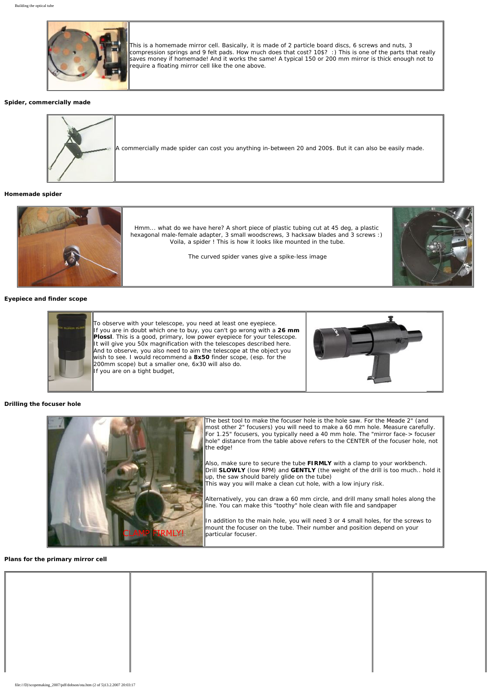

This is a homemade mirror cell. Basically, it is made of 2 particle board discs, 6 screws and nuts, 3 compression springs and 9 felt pads. How much does that cost? 10\$? :) This is one of the parts that really saves money if homemade! And it works the same! A typical 150 or 200 mm mirror is thick enough not to require a floating mirror cell like the one above.

## **Spider, commercially made**



**Homemade spider**



**Eyepiece and finder scope**



## **Drilling the focuser hole**



**Plans for the primary mirror cell**

| file:///D//scopemaking_2007/pdf/dobson/ota.htm (2 of 5)13.2.2007 20:03:17 |  |  |  |
|---------------------------------------------------------------------------|--|--|--|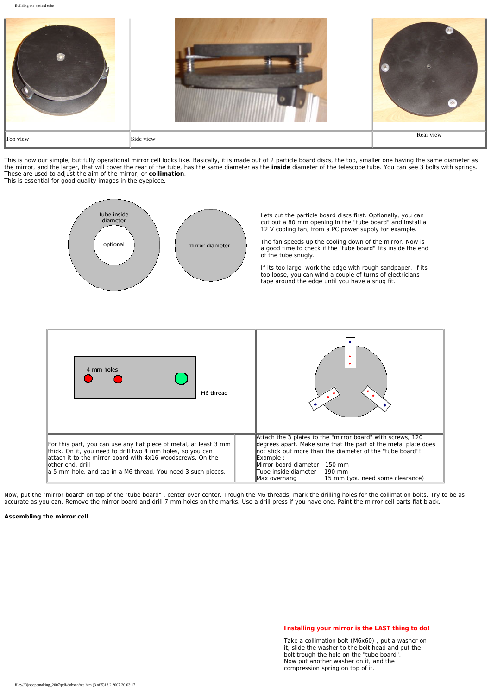Building the optical tube Top view Rear view Rear view Side view Side view Side view Rear view Rear view Rear view Rear view Rear view Rear view Rear view Rear view Rear view Rear view Rear view Rear view Rear view Rear view Rear view Rear view Rea

This is how our simple, but fully operational mirror cell looks like. Basically, it is made out of 2 particle board discs, the top, smaller one having the same diameter as the mirror, and the larger, that will cover the rear of the tube, has the same diameter as the **inside** diameter of the telescope tube. You can see 3 bolts with springs. These are used to adjust the aim of the mirror, or **collimation**. This is essential for good quality images in the eyepiece.



Lets cut the particle board discs first. Optionally, you can cut out a 80 mm opening in the "tube board" and install a 12 V cooling fan, from a PC power supply for example.

The fan speeds up the cooling down of the mirror. Now is a good time to check if the "tube board" fits inside the end of the tube snugly.

If its too large, work the edge with rough sandpaper. If its too loose, you can wind a couple of turns of electricians tape around the edge until you have a snug fit.



Now, put the "mirror board" on top of the "tube board" , center over center. Trough the M6 threads, mark the drilling holes for the collimation bolts. Try to be as accurate as you can. Remove the mirror board and drill 7 mm holes on the marks. Use a drill press if you have one. Paint the mirror cell parts flat black.

#### **Assembling the mirror cell**

# **Installing your mirror is the LAST thing to do!**

Take a collimation bolt (M6x60) , put a washer on it, slide the washer to the bolt head and put the bolt trough the hole on the "tube board". Now put another washer on it, and the compression spring on top of it.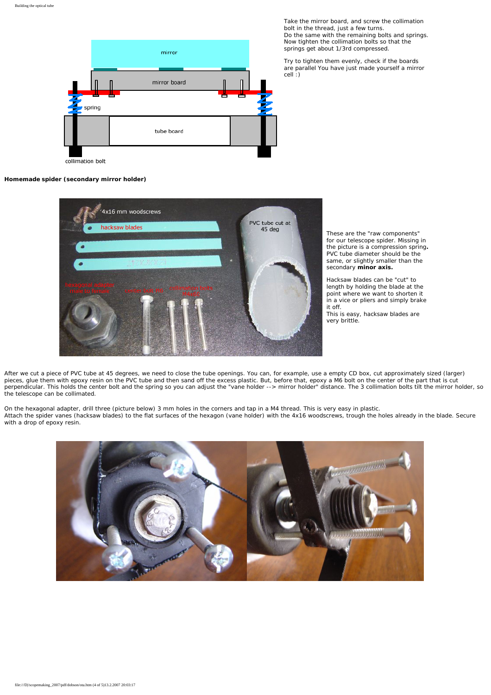

Take the mirror board, and screw the collimation bolt in the thread, just a few turns. Do the same with the remaining bolts and springs. Now tighten the collimation bolts so that the springs get about 1/3rd compressed.

Try to tighten them evenly, check if the boards are parallel You have just made yourself a mirror cell :)

collimation bolt

#### **Homemade spider (secondary mirror holder)**



These are the "raw components" for our telescope spider. Missing in the picture is a compression spring**.** PVC tube diameter should be the same, or slightly smaller than the secondary **minor axis.**

Hacksaw blades can be "cut" to length by holding the blade at the point where we want to shorten it in a vice or pliers and simply brake it off.

This is easy, hacksaw blades are very brittle.

After we cut a piece of PVC tube at 45 degrees, we need to close the tube openings. You can, for example, use a empty CD box, cut approximately sized (larger) pieces, glue them with epoxy resin on the PVC tube and then sand off the excess plastic. But, before that, epoxy a M6 bolt on the center of the part that is cut perpendicular. This holds the center bolt and the spring so you can adjust the "vane holder --> mirror holder" distance. The 3 collimation bolts tilt the mirror holder, so the telescope can be collimated.

On the hexagonal adapter, drill three (picture below) 3 mm holes in the corners and tap in a M4 thread. This is very easy in plastic. Attach the spider vanes (hacksaw blades) to the flat surfaces of the hexagon (vane holder) with the 4x16 woodscrews, trough the holes already in the blade. Secure with a drop of epoxy resin.

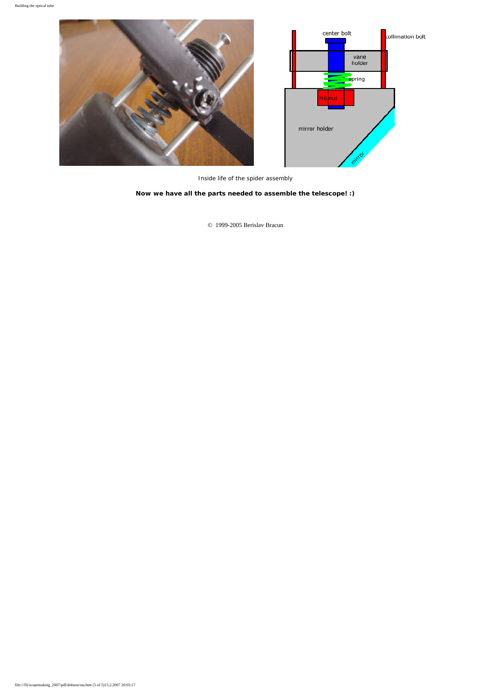

Inside life of the spider assembly

**Now we have all the parts needed to assemble the telescope! :)**

© 1999-2005 Berislav Bracun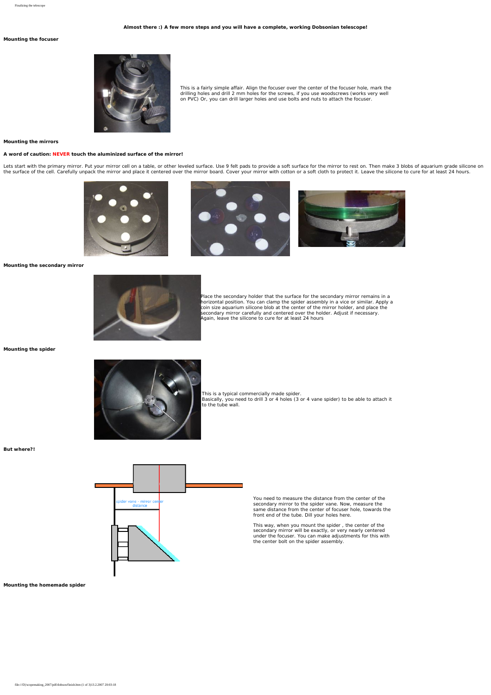#### **Almost there :) A few more steps and you will have a complete, working Dobsonian telescope!**

## <span id="page-10-0"></span>**Mounting the focuser**



This is a fairly simple affair. Align the focuser over the center of the focuser hole, mark the drilling holes and drill 2 mm holes for the screws, if you use woodscrews (works very well on PVC) Or, you can drill larger holes and use bolts and nuts to attach the focuser.

#### **Mounting the mirrors**

#### **A word of caution: NEVER touch the aluminized surface of the mirror!**

Lets start with the primary mirror. Put your mirror cell on a table, or other leveled surface. Use 9 felt pads to provide a soft surface for the mirror to rest on. Then make 3 blobs of aquarium grade silicone on<br>the surfac







**Mounting the secondary mirror**



Place the secondary holder that the surface for the secondary mirror remains in a horizontal position. You can clamp the spider assembly in a vice or similar. Apply a<br>coin size aquarium silicone blob at the center of the mirror holder, and place the<br>secondary mirror carefully and centered over the holde Again, leave the silicone to cure for at least 24 hours

**Mounting the spider**



This is a typical commercially made spider. Basically, you need to drill 3 or 4 holes (3 or 4 vane spider) to be able to attach it to the tube wall.

**But where?!** 



You need to measure the distance from the center of the secondary mirror to the spider vane. Now, measure the same distance from the center of focuser hole, towards the front end of the tube. Dill your holes here.

This way, when you mount the spider , the center of the secondary mirror will be exactly, or very nearly centered under the focuser. You can make adjustments for this with the center bolt on the spider assembly.

**Mounting the homemade spider**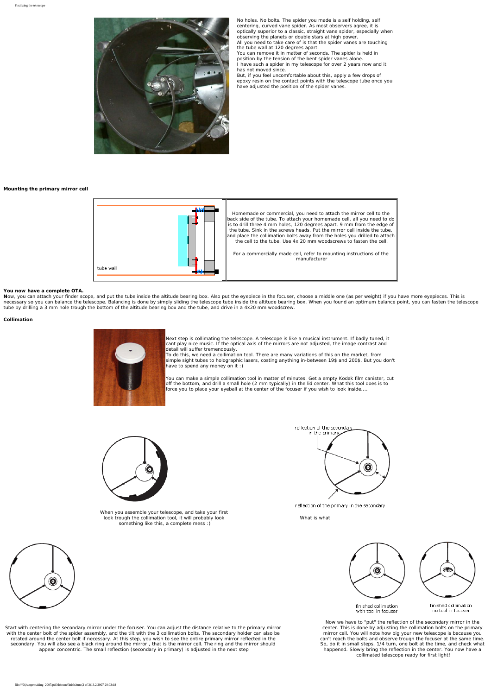

I have such a spider<br>has not moved since. But, if you feel uncomfortable about this, apply a few drops of epoxy resin on the contact points with the telescope tube once you have adjusted the position of the spider vanes.

#### **Mounting the primary mirror cell**



**You now have a complete OTA.**<br>**N**ow, you can attach your finder scope, and put the tube inside the altitude bearing box. Also put the eyepiece in the focuser, choose a middle one (as per weight) if you have more eyepieces

### **Collimation**



Next step is collimating the telescope. A telescope is like a musical instrument. If badly tuned, it cant play nice music. If the optical axis of the mirrors are not adjusted, the image contrast and detail will suffer tremendously. To do this, we need a collimation tool. There are many variations of this on the market, from

simple sight tubes to holographic lasers, costing anything in-between 19\$ and 200\$. But you don't have to spend any money on it :)

You can make a simple collimation tool in matter of minutes. Get a empty Kodak film canister, cut off the bottom, and drill a small hole (2 mm typically) in the lid center. What this tool does is to force you to place your eyeball at the center of the focuser if you wish to look inside....



When you assemble your telescope, and take your first look trough the collimation tool, it will probably look something like this, a complete mess :)



reflection of the primary in the secondary

What is what



Start with centering the secondary mirror under the focuser. You can adjust the distance relative to the primary mirror with the center bolt of the spider assembly, and the tilt with the 3 collimation bolts. The secondary holder can also be<br>rotated around the center bolt if necessary. At this step, you wish to see the entire primary mirror



Now we have to "put" the reflection of the secondary mirror in the center. This is done by adjusting the collimation bolts on the primary mirror cell. You will note how big your new telescope is because you<br>can't reach the bolts and observe trough the focuser at the same time.<br>So, do it in small steps, 1/4 turn, one bolt at the time, and check what<br>happened. collimated telescope ready for first light!